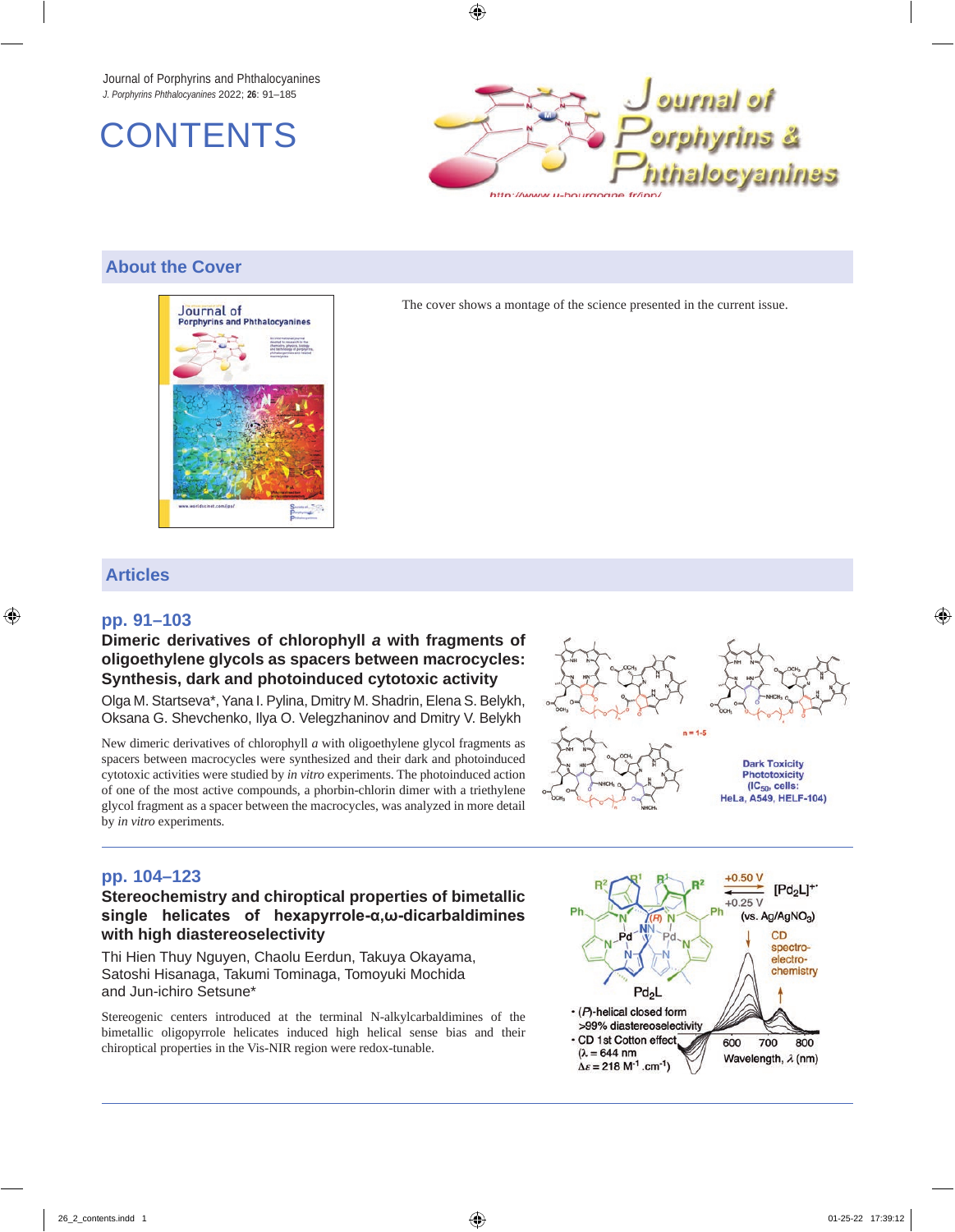Journal of Porphyrins and Phthalocyanines *J. Porphyrins Phthalocyanines* 2022; **26**: 91–185





## **About the Cover**



The cover shows a montage of the science presented in the current issue.

## **Articles**

#### **pp. 91–103**

#### **Dimeric derivatives of chlorophyll** *a* **with fragments of oligoethylene glycols as spacers between macrocycles: Synthesis, dark and photoinduced cytotoxic activity**

Olga M. Startseva\*, Yana I. Pylina, Dmitry M. Shadrin, Elena S. Belykh, Oksana G. Shevchenko, Ilya O. Velegzhaninov and Dmitry V. Belykh

New dimeric derivatives of chlorophyll *a* with oligoethylene glycol fragments as spacers between macrocycles were synthesized and their dark and photoinduced cytotoxic activities were studied by *in vitro* experiments. The photoinduced action of one of the most active compounds, a phorbin-chlorin dimer with a triethylene glycol fragment as a spacer between the macrocycles, was analyzed in more detail by *in vitro* experiments*.*



## **pp. 104–123**

#### **Stereochemistry and chiroptical properties of bimetallic single helicates of hexapyrrole-α,ω-dicarbaldimines with high diastereoselectivity**

Thi Hien Thuy Nguyen, Chaolu Eerdun, Takuya Okayama, Satoshi Hisanaga, Takumi Tominaga, Tomoyuki Mochida and Jun-ichiro Setsune\*

Stereogenic centers introduced at the terminal N-alkylcarbaldimines of the bimetallic oligopyrrole helicates induced high helical sense bias and their chiroptical properties in the Vis-NIR region were redox-tunable.

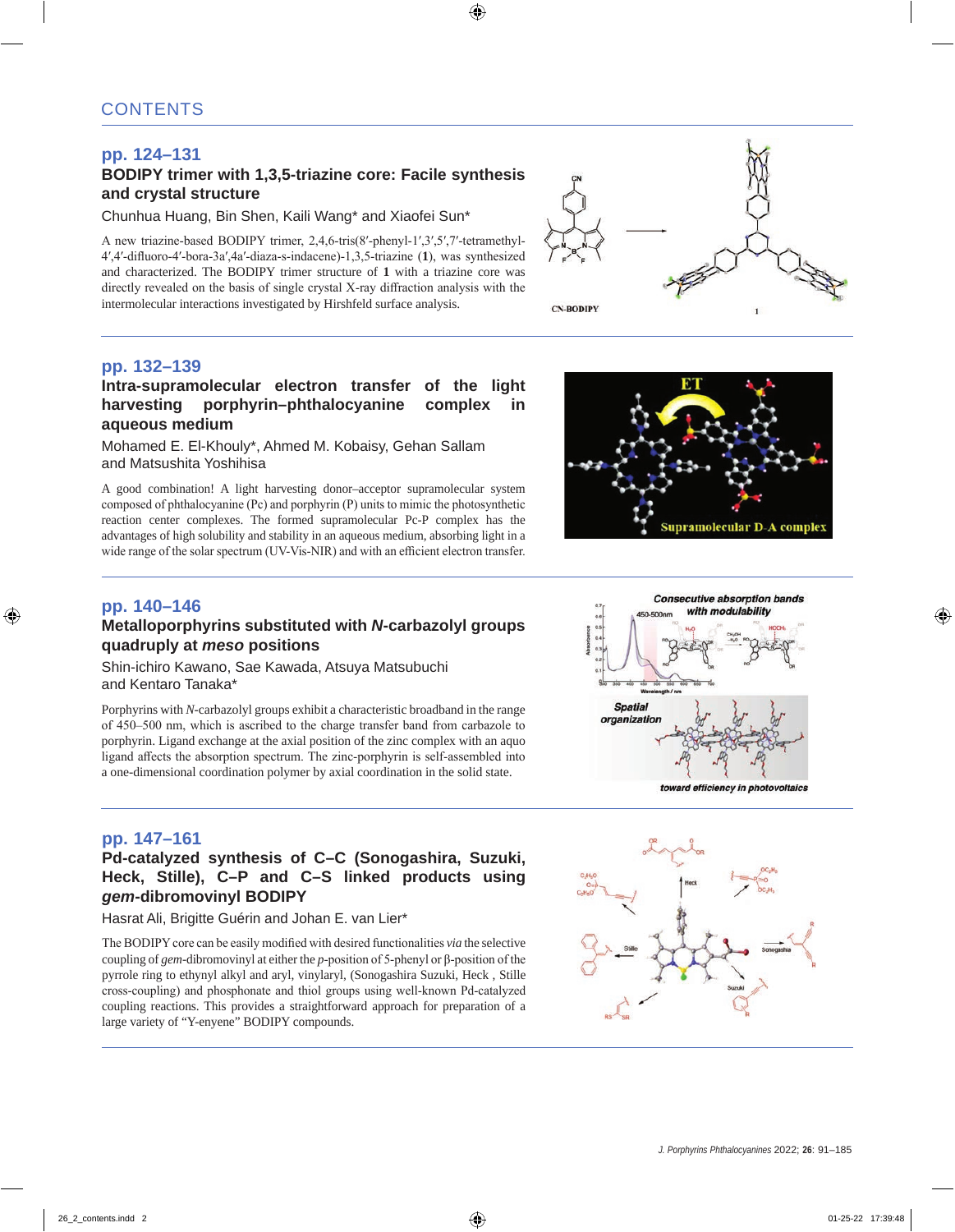# **pp. 124–131**

## **BODIPY trimer with 1,3,5-triazine core: Facile synthesis and crystal structure**

Chunhua Huang, Bin Shen, Kaili Wang\* and Xiaofei Sun\*

A new triazine-based BODIPY trimer, 2,4,6-tris(8′-phenyl-1′,3′,5′,7′-tetramethyl-4′,4′-difluoro-4′-bora-3a′,4a′-diaza-s-indacene)-1,3,5-triazine (**1**), was synthesized and characterized. The BODIPY trimer structure of **1** with a triazine core was directly revealed on the basis of single crystal X-ray diffraction analysis with the intermolecular interactions investigated by Hirshfeld surface analysis.



# **pp. 132–139**

#### **Intra-supramolecular electron transfer of the light harvesting porphyrin–phthalocyanine complex in aqueous medium**

Mohamed E. El-Khouly\*, Ahmed M. Kobaisy, Gehan Sallam and Matsushita Yoshihisa

A good combination! A light harvesting donor–acceptor supramolecular system composed of phthalocyanine (Pc) and porphyrin (P) units to mimic the photosynthetic reaction center complexes. The formed supramolecular Pc-P complex has the advantages of high solubility and stability in an aqueous medium, absorbing light in a wide range of the solar spectrum (UV-Vis-NIR) and with an efficient electron transfer.

## **pp. 140–146 Metalloporphyrins substituted with** *N***-carbazolyl groups quadruply at** *meso* **positions**

Shin-ichiro Kawano, Sae Kawada, Atsuya Matsubuchi and Kentaro Tanaka\*

Porphyrins with *N*-carbazolyl groups exhibit a characteristic broadband in the range of 450–500 nm, which is ascribed to the charge transfer band from carbazole to porphyrin. Ligand exchange at the axial position of the zinc complex with an aquo ligand affects the absorption spectrum. The zinc-porphyrin is self-assembled into a one-dimensional coordination polymer by axial coordination in the solid state.





#### **pp. 147–161**

## **Pd-catalyzed synthesis of C–C (Sonogashira, Suzuki, Heck, Stille), C–P and C–S linked products using**  *gem***-dibromovinyl BODIPY**

Hasrat Ali, Brigitte Guérin and Johan E. van Lier\*

The BODIPY core can be easily modified with desired functionalities *via* the selective coupling of *gem*-dibromovinyl at either the *p*-position of 5-phenyl or β-position of the pyrrole ring to ethynyl alkyl and aryl, vinylaryl, (Sonogashira Suzuki, Heck , Stille cross-coupling) and phosphonate and thiol groups using well-known Pd-catalyzed coupling reactions. This provides a straightforward approach for preparation of a large variety of "Y-enyene" BODIPY compounds.